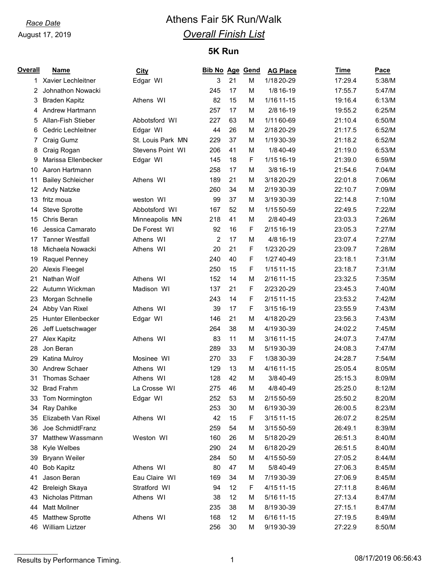# *Race Date* **Athens Fair 5K Run/Walk** *Overall Finish List*

## **5K Run**

| <b>Overall</b> | <b>Name</b>               | <b>City</b>       | <b>Bib No Age Gend</b> |    |             | <b>AG Place</b> | Time    | Pace   |
|----------------|---------------------------|-------------------|------------------------|----|-------------|-----------------|---------|--------|
| 1.             | Xavier Lechleitner        | Edgar WI          | 3                      | 21 | M           | 1/18 20-29      | 17:29.4 | 5:38/M |
| 2              | Johnathon Nowacki         |                   | 245                    | 17 | M           | 1/8 16-19       | 17:55.7 | 5:47/M |
| 3              | <b>Braden Kapitz</b>      | Athens WI         | 82                     | 15 | M           | 1/16 11-15      | 19:16.4 | 6:13/M |
| 4              | Andrew Hartmann           |                   | 257                    | 17 | M           | 2/8 16-19       | 19:55.2 | 6:25/M |
| 5              | Allan-Fish Stieber        | Abbotsford WI     | 227                    | 63 | М           | 1/11 60-69      | 21:10.4 | 6:50/M |
| 6              | <b>Cedric Lechleitner</b> | Edgar WI          | 44                     | 26 | M           | 2/18 20-29      | 21:17.5 | 6:52/M |
| 7              | Craig Gumz                | St. Louis Park MN | 229                    | 37 | M           | 1/19 30-39      | 21:18.2 | 6:52/M |
| 8              | Craig Rogan               | Stevens Point WI  | 206                    | 41 | M           | 1/8 40-49       | 21:19.0 | 6:53/M |
| 9              | Marissa Ellenbecker       | Edgar WI          | 145                    | 18 | $\mathsf F$ | 1/15 16-19      | 21:39.0 | 6:59/M |
| 10             | Aaron Hartmann            |                   | 258                    | 17 | M           | 3/8 16-19       | 21:54.6 | 7:04/M |
| 11             | <b>Bailey Schleicher</b>  | Athens WI         | 189                    | 21 | M           | 3/18 20-29      | 22:01.8 | 7:06/M |
| 12             | <b>Andy Natzke</b>        |                   | 260                    | 34 | M           | 2/1930-39       | 22:10.7 | 7:09/M |
| 13             | fritz moua                | weston WI         | 99                     | 37 | M           | 3/1930-39       | 22:14.8 | 7:10/M |
| 14             | Steve Sprotte             | Abbotsford WI     | 167                    | 52 | M           | 1/15 50-59      | 22:49.5 | 7:22/M |
| 15             | Chris Beran               | Minneapolis MN    | 218                    | 41 | M           | 2/8 40-49       | 23:03.3 | 7:26/M |
| 16             | Jessica Camarato          | De Forest WI      | 92                     | 16 | $\mathsf F$ | 2/15 16-19      | 23:05.3 | 7:27/M |
| 17             | <b>Tanner Westfall</b>    | Athens WI         | $\overline{c}$         | 17 | M           | 4/8 16-19       | 23:07.4 | 7:27/M |
| 18             | Michaela Nowacki          | Athens WI         | 20                     | 21 | F           | 1/23 20-29      | 23:09.7 | 7:28/M |
| 19             | Raquel Penney             |                   | 240                    | 40 | F           | 1/27 40-49      | 23:18.1 | 7:31/M |
| 20             | Alexis Fleegel            |                   | 250                    | 15 | $\mathsf F$ | 1/15 11-15      | 23:18.7 | 7:31/M |
| 21             | Nathan Wolf               | Athens WI         | 152                    | 14 | M           | 2/16 11-15      | 23:32.5 | 7:35/M |
| 22             | Autumn Wickman            | Madison WI        | 137                    | 21 | F           | 2/23 20-29      | 23:45.3 | 7:40/M |
| 23             | Morgan Schnelle           |                   | 243                    | 14 | F           | $2/1511-15$     | 23:53.2 | 7:42/M |
| 24             | Abby Van Rixel            | Athens WI         | 39                     | 17 | F           | 3/15 16-19      | 23:55.9 | 7:43/M |
| 25             | Hunter Ellenbecker        | Edgar WI          | 146                    | 21 | M           | 4/18 20-29      | 23:56.3 | 7:43/M |
| 26             | Jeff Luetschwager         |                   | 264                    | 38 | M           | 4/1930-39       | 24:02.2 | 7:45/M |
| 27             | Alex Kapitz               | Athens WI         | 83                     | 11 | M           | 3/16 11-15      | 24:07.3 | 7:47/M |
| 28             | Jon Beran                 |                   | 289                    | 33 | M           | 5/1930-39       | 24:08.3 | 7:47/M |
| 29             | Katina Mulroy             | Mosinee WI        | 270                    | 33 | F           | 1/38 30-39      | 24:28.7 | 7:54/M |
| 30             | Andrew Schaer             | Athens WI         | 129                    | 13 | M           | 4/16 11-15      | 25:05.4 | 8:05/M |
| 31             | <b>Thomas Schaer</b>      | Athens WI         | 128                    | 42 | M           | 3/8 40-49       | 25:15.3 | 8:09/M |
| 32             | <b>Brad Frahm</b>         | La Crosse WI      | 275                    | 46 | M           | 4/8 40-49       | 25:25.0 | 8:12/M |
| 33             | Tom Normington            | Edgar WI          | 252                    | 53 | M           | 2/15 50-59      | 25:50.2 | 8:20/M |
| 34             | Ray Dahlke                |                   | 253                    | 30 | M           | 6/1930-39       | 26:00.5 | 8:23/M |
| 35             | Elizabeth Van Rixel       | Athens WI         | 42                     | 15 | $\mathsf F$ | 3/15 11-15      | 26:07.2 | 8:25/M |
| 36             | Joe SchmidtFranz          |                   | 259                    | 54 | M           | 3/15 50-59      | 26:49.1 | 8:39/M |
| 37             | Matthew Wassmann          | Weston WI         | 160                    | 26 | M           | 5/18 20-29      | 26:51.3 | 8:40/M |
| 38             | Kyle Welbes               |                   | 290                    | 24 | M           | 6/18 20-29      | 26:51.5 | 8:40/M |
| 39             | <b>Bryann Weiler</b>      |                   | 284                    | 50 | M           | 4/15 50-59      | 27:05.2 | 8:44/M |
| 40             | <b>Bob Kapitz</b>         | Athens WI         | 80                     | 47 | М           | 5/8 40-49       | 27:06.3 | 8:45/M |
| 41             | Jason Beran               | Eau Claire WI     | 169                    | 34 | М           | 7/19 30-39      | 27:06.9 | 8:45/M |
| 42             | <b>Breleigh Skaya</b>     | Stratford WI      | 94                     | 12 | $\mathsf F$ | 4/15 11 - 15    | 27:11.8 | 8:46/M |
| 43             | Nicholas Pittman          | Athens WI         | 38                     | 12 | M           | 5/16 11-15      | 27:13.4 | 8:47/M |
| 44             | <b>Matt Mollner</b>       |                   | 235                    | 38 | M           | 8/1930-39       | 27:15.1 | 8:47/M |
| 45             | <b>Matthew Sprotte</b>    | Athens WI         | 168                    | 12 | М           | 6/16 11-15      | 27:19.5 | 8:49/M |
| 46             | William Liztzer           |                   | 256                    | 30 | M           | 9/19 30-39      | 27:22.9 | 8:50/M |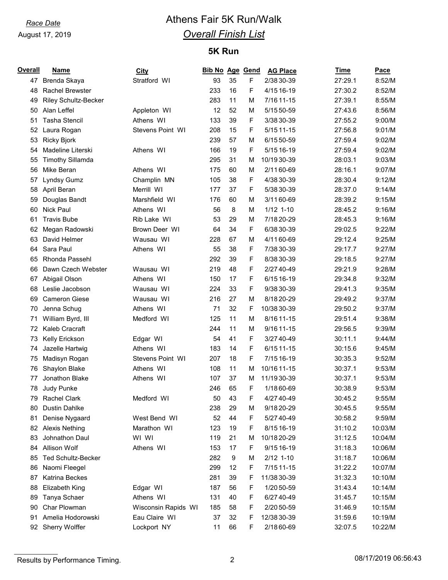# *Race Date* **Athens Fair 5K Run/Walk** *Overall Finish List*

## **5K Run**

| <b>Overall</b> | <b>Name</b>               | <b>City</b>         | Bib No Age Gend |                  |   | <b>AG Place</b> | <b>Time</b> | <b>Pace</b> |
|----------------|---------------------------|---------------------|-----------------|------------------|---|-----------------|-------------|-------------|
| 47             | Brenda Skaya              | Stratford WI        | 93              | 35               | F | 2/38 30-39      | 27:29.1     | 8:52/M      |
| 48             | <b>Rachel Brewster</b>    |                     | 233             | 16               | F | 4/15 16-19      | 27:30.2     | 8:52/M      |
| 49             | Riley Schultz-Becker      |                     | 283             | 11               | M | 7/16 11-15      | 27:39.1     | 8:55/M      |
| 50             | Alan Leffel               | Appleton WI         | 12              | 52               | M | 5/15 50-59      | 27:43.6     | 8:56/M      |
| 51             | <b>Tasha Stencil</b>      | Athens WI           | 133             | 39               | F | 3/38 30-39      | 27:55.2     | 9:00/M      |
| 52             | Laura Rogan               | Stevens Point WI    | 208             | 15               | F | 5/15 11-15      | 27:56.8     | 9:01/M      |
| 53             | <b>Ricky Bjork</b>        |                     | 239             | 57               | M | 6/15 50-59      | 27:59.4     | 9:02/M      |
| 54             | Madeline Literski         | Athens WI           | 166             | 19               | F | 5/15 16-19      | 27:59.4     | 9:02/M      |
| 55             | <b>Timothy Sillamda</b>   |                     | 295             | 31               | M | 10/1930-39      | 28:03.1     | 9:03/M      |
| 56             | Mike Beran                | Athens WI           | 175             | 60               | M | 2/1160-69       | 28:16.1     | 9:07/M      |
| 57             | Lyndsy Gumz               | Champlin MN         | 105             | 38               | F | 4/38 30-39      | 28:30.4     | 9:12/M      |
| 58             | April Beran               | Merrill WI          | 177             | 37               | F | 5/38 30-39      | 28:37.0     | 9:14/M      |
| 59             | Douglas Bandt             | Marshfield WI       | 176             | 60               | M | 3/1160-69       | 28:39.2     | 9:15/M      |
| 60             | <b>Nick Paul</b>          | Athens WI           | 56              | 8                | M | $1/12$ 1-10     | 28:45.2     | 9:16/M      |
| 61             | <b>Travis Bube</b>        | Rib Lake WI         | 53              | 29               | M | 7/18 20-29      | 28:45.3     | 9:16/M      |
| 62             | Megan Radowski            | Brown Deer WI       | 64              | 34               | F | 6/38 30-39      | 29:02.5     | 9:22/M      |
| 63             | David Helmer              | Wausau WI           | 228             | 67               | M | 4/1160-69       | 29:12.4     | 9:25/M      |
| 64             | Sara Paul                 | Athens WI           | 55              | 38               | F | 7/38 30-39      | 29:17.7     | 9:27/M      |
| 65             | Rhonda Passehl            |                     | 292             | 39               | F | 8/38 30-39      | 29:18.5     | 9:27/M      |
| 66             | Dawn Czech Webster        | Wausau WI           | 219             | 48               | F | 2/27 40-49      | 29:21.9     | 9:28/M      |
| 67             | Abigail Olson             | Athens WI           | 150             | 17               | F | 6/15 16-19      | 29:34.8     | 9:32/M      |
| 68             | Leslie Jacobson           | Wausau WI           | 224             | 33               | F | 9/38 30-39      | 29:41.3     | 9:35/M      |
| 69             | <b>Cameron Giese</b>      | Wausau WI           | 216             | 27               | M | 8/18 20-29      | 29:49.2     | 9:37/M      |
| 70             | Jenna Schug               | Athens WI           | 71              | 32               | F | 10/38 30-39     | 29:50.2     | 9:37/M      |
| 71             | William Byrd, III         | Medford WI          | 125             | 11               | M | 8/16 11-15      | 29:51.4     | 9:38/M      |
| 72             | Kaleb Cracraft            |                     | 244             | 11               | M | 9/16 11-15      | 29:56.5     | 9:39/M      |
| 73             | Kelly Erickson            | Edgar WI            | 54              | 41               | F | 3/27 40-49      | 30:11.1     | 9:44/M      |
| 74             | Jazelle Hartwig           | Athens WI           | 183             | 14               | F | 6/15 11-15      | 30:15.6     | 9:45/M      |
| 75             | Madisyn Rogan             | Stevens Point WI    | 207             | 18               | F | 7/15 16-19      | 30:35.3     | 9:52/M      |
| 76             | Shaylon Blake             | Athens WI           | 108             | 11               | M | 10/16 11-15     | 30:37.1     | 9:53/M      |
| 77             | Jonathon Blake            | Athens WI           | 107             | 37               | M | 11/19 30-39     | 30:37.1     | 9:53/M      |
| 78             | Judy Punke                |                     | 246             | 65               | F | 1/18 60-69      | 30:38.9     | 9:53/M      |
| 79             | Rachel Clark              | Medford WI          | 50              | 43               | F | 4/27 40-49      | 30:45.2     | 9:55/M      |
| 80             | Dustin Dahlke             |                     | 238             | 29               | M | 9/18 20-29      | 30:45.5     | 9:55/M      |
| 81             | Denise Nygaard            | West Bend WI        | 52              | 44               | F | 5/27 40-49      | 30:58.2     | 9:59/M      |
| 82             | <b>Alexis Nething</b>     | Marathon WI         | 123             | 19               | F | 8/15 16-19      | 31:10.2     | 10:03/M     |
| 83             | Johnathon Daul            | WI WI               | 119             | 21               | M | 10/18 20-29     | 31:12.5     | 10:04/M     |
| 84             | Allison Wolf              | Athens WI           | 153             | 17               | F | 9/15 16-19      | 31:18.3     | 10:06/M     |
| 85             | <b>Ted Schultz-Becker</b> |                     | 282             | $\boldsymbol{9}$ | M | $2/12$ 1-10     | 31:18.7     | 10:06/M     |
| 86             | Naomi Fleegel             |                     | 299             | 12               | F | 7/15 11-15      | 31:22.2     | 10:07/M     |
| 87             | Katrina Beckes            |                     | 281             | 39               | F | 11/38 30-39     | 31:32.3     | 10:10/M     |
| 88             | <b>Elizabeth King</b>     | Edgar WI            | 187             | 56               | F | 1/20 50-59      | 31:43.4     | 10:14/M     |
| 89             | Tanya Schaer              | Athens WI           | 131             | 40               | F | 6/27 40-49      | 31:45.7     | 10:15/M     |
| 90             | Char Plowman              | Wisconsin Rapids WI | 185             | 58               | F | 2/20 50-59      | 31:46.9     | 10:15/M     |
| 91             | Amelia Hodorowski         | Eau Claire WI       | 37              | 32               | F | 12/38 30-39     | 31:59.6     | 10:19/M     |
| 92             | Sherry Wolffer            | Lockport NY         | 11              | 66               | F | 2/18 60-69      | 32:07.5     | 10:22/M     |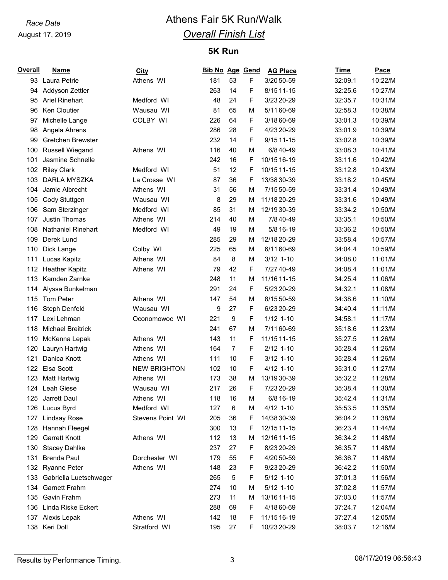# *Race Date* **Athens Fair 5K Run/Walk** *Overall Finish List*

## **5K Run**

| Overall | <b>Name</b>               | <b>City</b>         | Bib No Age Gend |                |   | <b>AG Place</b> | Time    | Pace    |
|---------|---------------------------|---------------------|-----------------|----------------|---|-----------------|---------|---------|
| 93      | Laura Petrie              | Athens WI           | 181             | 53             | F | 3/20 50-59      | 32:09.1 | 10:22/M |
| 94      | Addyson Zettler           |                     | 263             | 14             | F | 8/15 11-15      | 32:25.6 | 10:27/M |
| 95      | <b>Ariel Rinehart</b>     | Medford WI          | 48              | 24             | F | 3/23 20-29      | 32:35.7 | 10:31/M |
| 96      | <b>Ken Cloutier</b>       | Wausau WI           | 81              | 65             | М | 5/1160-69       | 32:58.3 | 10:38/M |
| 97      | Michelle Lange            | COLBY WI            | 226             | 64             | F | 3/18 60-69      | 33:01.3 | 10:39/M |
| 98      | Angela Ahrens             |                     | 286             | 28             | F | 4/23 20-29      | 33:01.9 | 10:39/M |
| 99      | Gretchen Brewster         |                     | 232             | 14             | F | $9/1511-15$     | 33:02.8 | 10:39/M |
| 100     | <b>Russell Wiegand</b>    | Athens WI           | 116             | 40             | м | 6/8 40-49       | 33:08.3 | 10:41/M |
| 101     | Jasmine Schnelle          |                     | 242             | 16             | F | 10/15 16-19     | 33:11.6 | 10:42/M |
| 102     | <b>Riley Clark</b>        | Medford WI          | 51              | 12             | F | 10/15 11-15     | 33:12.8 | 10:43/M |
| 103     | DARLA MYSZKA              | La Crosse WI        | 87              | 36             | F | 13/38 30-39     | 33:18.2 | 10:45/M |
| 104     | Jamie Albrecht            | Athens WI           | 31              | 56             | M | 7/15 50-59      | 33:31.4 | 10:49/M |
| 105     | Cody Stuttgen             | Wausau WI           | 8               | 29             | м | 11/18 20-29     | 33:31.6 | 10:49/M |
| 106     | Sam Sterzinger            | Medford WI          | 85              | 31             | М | 12/1930-39      | 33:34.2 | 10:50/M |
| 107     | <b>Justin Thomas</b>      | Athens WI           | 214             | 40             | М | 7/8 40-49       | 33:35.1 | 10:50/M |
| 108     | <b>Nathaniel Rinehart</b> | Medford WI          | 49              | 19             | М | 5/8 16-19       | 33:36.2 | 10:50/M |
| 109     | Derek Lund                |                     | 285             | 29             | М | 12/18 20-29     | 33:58.4 | 10:57/M |
| 110     | Dick Lange                | Colby WI            | 225             | 65             | М | 6/1160-69       | 34:04.4 | 10:59/M |
| 111     | Lucas Kapitz              | Athens WI           | 84              | 8              | M | $3/12$ 1-10     | 34:08.0 | 11:01/M |
| 112     | <b>Heather Kapitz</b>     | Athens WI           | 79              | 42             | F | 7/27 40-49      | 34:08.4 | 11:01/M |
| 113     | Kamden Zarnke             |                     | 248             | 11             | М | 11/16 11-15     | 34:25.4 | 11:06/M |
| 114     | Alyssa Bunkelman          |                     | 291             | 24             | F | 5/23 20-29      | 34:32.1 | 11:08/M |
| 115     | <b>Tom Peter</b>          | Athens WI           | 147             | 54             | М | 8/15 50-59      | 34:38.6 | 11:10/M |
| 116     | Steph Denfeld             | Wausau WI           | 9               | 27             | F | 6/23 20-29      | 34:40.4 | 11:11/M |
| 117     | Lexi Lehman               | Oconomowoc WI       | 221             | 9              | F | $1/12$ 1-10     | 34:58.1 | 11:17/M |
| 118     | <b>Michael Breitrick</b>  |                     | 241             | 67             | M | 7/11 60-69      | 35:18.6 | 11:23/M |
| 119     | McKenna Lepak             | Athens WI           | 143             | 11             | F | 11/15 11-15     | 35:27.5 | 11:26/M |
| 120     | Lauryn Hartwig            | Athens WI           | 164             | $\overline{7}$ | F | $2/12$ 1-10     | 35:28.4 | 11:26/M |
| 121     | Danica Knott              | Athens WI           | 111             | 10             | F | $3/12$ 1-10     | 35:28.4 | 11:26/M |
| 122     | Elsa Scott                | <b>NEW BRIGHTON</b> | 102             | 10             | F | $4/12$ 1-10     | 35:31.0 | 11:27/M |
| 123     | Matt Hartwig              | Athens WI           | 173             | 38             | M | 13/19 30-39     | 35:32.2 | 11:28/M |
| 124     | Leah Giese                | Wausau WI           | 217             | 26             | F | 7/23 20-29      | 35:38.4 | 11:30/M |
| 125     | Jarrett Daul              | Athens WI           | 118             | 16             | М | 6/8 16-19       | 35:42.4 | 11:31/M |
| 126     | Lucus Byrd                | Medford WI          | 127             | 6              | М | 4/12 1-10       | 35:53.5 | 11:35/M |
| 127     | <b>Lindsay Rose</b>       | Stevens Point WI    | 205             | 36             | F | 14/38 30-39     | 36:04.2 | 11:38/M |
| 128     | Hannah Fleegel            |                     | 300             | 13             | F | 12/15 11-15     | 36:23.4 | 11:44/M |
| 129     | <b>Garrett Knott</b>      | Athens WI           | 112             | 13             | М | 12/16 11-15     | 36:34.2 | 11:48/M |
| 130     | <b>Stacey Dahlke</b>      |                     | 237             | 27             | F | 8/23 20-29      | 36:35.7 | 11:48/M |
| 131     | <b>Brenda Paul</b>        | Dorchester WI       | 179             | 55             | F | 4/20 50-59      | 36:36.7 | 11:48/M |
|         | 132 Ryanne Peter          | Athens WI           | 148             | 23             | F | 9/23 20-29      | 36:42.2 | 11:50/M |
| 133     | Gabriella Luetschwager    |                     | 265             | 5              | F | $5/12$ 1-10     | 37:01.3 | 11:56/M |
|         | 134 Garnett Frahm         |                     | 274             | 10             | М | $5/12$ 1-10     | 37:02.8 | 11:57/M |
| 135     | Gavin Frahm               |                     | 273             | 11             | М | 13/16 11-15     | 37:03.0 | 11:57/M |
| 136     | Linda Riske Eckert        |                     | 288             | 69             | F | 4/18 60-69      | 37:24.7 | 12:04/M |
| 137     | Alexis Lepak              | Athens WI           | 142             | 18             | F | 11/15 16-19     | 37:27.4 | 12:05/M |
| 138     | Keri Doll                 | Stratford WI        | 195             | 27             | F | 10/23 20-29     | 38:03.7 | 12:16/M |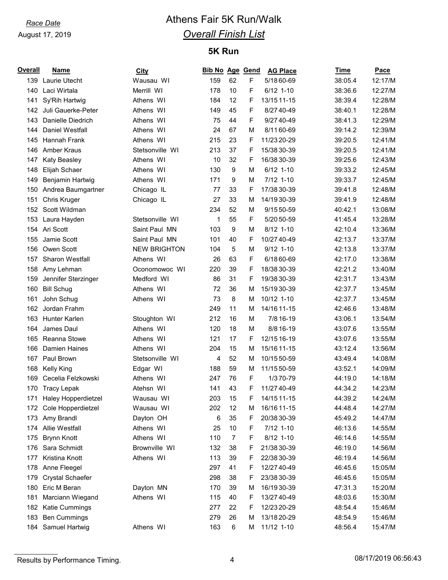# *Race Date* **Athens Fair 5K Run/Walk** *Overall Finish List*

## **5K Run**

| <b>Overall</b> | Name                    | <b>City</b>         | Bib No Age Gend |                |   | <b>AG Place</b> | Time    | Pace    |
|----------------|-------------------------|---------------------|-----------------|----------------|---|-----------------|---------|---------|
|                | 139 Laurie Utecht       | Wausau WI           | 159             | 62             | F | 5/18 60-69      | 38:05.4 | 12:17/M |
| 140            | Laci Wirtala            | Merrill WI          | 178             | 10             | F | $6/12$ 1-10     | 38:36.6 | 12:27/M |
| 141            | Sy'Rih Hartwig          | Athens WI           | 184             | 12             | F | 13/15 11-15     | 38:39.4 | 12:28/M |
| 142            | Juli Gauerke-Peter      | Athens WI           | 149             | 45             | F | 8/27 40-49      | 38:40.1 | 12:28/M |
| 143            | Danielle Diedrich       | Athens WI           | 75              | 44             | F | 9/27 40-49      | 38:41.3 | 12:29/M |
| 144            | Daniel Westfall         | Athens WI           | 24              | 67             | м | 8/1160-69       | 39:14.2 | 12:39/M |
| 145            | Hannah Frank            | Athens WI           | 215             | 23             | F | 11/23 20-29     | 39:20.5 | 12:41/M |
| 146            | Amber Kraus             | Stetsonville WI     | 213             | 37             | F | 15/38 30-39     | 39:20.5 | 12:41/M |
| 147            | <b>Katy Beasley</b>     | Athens WI           | 10              | 32             | F | 16/38 30-39     | 39:25.6 | 12:43/M |
| 148            | Elijah Schaer           | Athens WI           | 130             | 9              | M | $6/12$ 1-10     | 39:33.2 | 12:45/M |
| 149            | <b>Benjamin Hartwig</b> | Athens WI           | 171             | 9              | M | 7/12 1-10       | 39:33.7 | 12:45/M |
| 150            | Andrea Baumgartner      | Chicago IL          | 77              | 33             | F | 17/38 30-39     | 39:41.8 | 12:48/M |
| 151            | Chris Kruger            | Chicago IL          | 27              | 33             | M | 14/1930-39      | 39:41.9 | 12:48/M |
|                | 152 Scott Wildman       |                     | 234             | 52             | M | 9/15 50-59      | 40:42.1 | 13:08/M |
|                | 153 Laura Hayden        | Stetsonville WI     | 1               | 55             | F | 5/20 50-59      | 41:45.4 | 13:28/M |
|                | 154 Ari Scott           | Saint Paul MN       | 103             | 9              | M | 8/12 1-10       | 42:10.4 | 13:36/M |
| 155            | Jamie Scott             | Saint Paul MN       | 101             | 40             | F | 10/27 40-49     | 42:13.7 | 13:37/M |
| 156            | Owen Scott              | <b>NEW BRIGHTON</b> | 104             | 5              | M | $9/12$ 1-10     | 42:13.8 | 13:37/M |
| 157            | Sharon Westfall         | Athens WI           | 26              | 63             | F | 6/18 60-69      | 42:17.0 | 13:38/M |
| 158            | Amy Lehman              | Oconomowoc WI       | 220             | 39             | F | 18/38 30-39     | 42:21.2 | 13:40/M |
| 159            | Jennifer Sterzinger     | Medford WI          | 86              | 31             | F | 19/38 30-39     | 42:31.7 | 13:43/M |
| 160            | <b>Bill Schug</b>       | Athens WI           | 72              | 36             | м | 15/19 30-39     | 42:37.7 | 13:45/M |
| 161            | John Schug              | Athens WI           | 73              | 8              | м | 10/12 1-10      | 42:37.7 | 13:45/M |
| 162            | Jordan Frahm            |                     | 249             | 11             | м | 14/16 11-15     | 42:46.6 | 13:48/M |
| 163            | Hunter Karlen           | Stoughton WI        | 212             | 16             | M | 7/8 16-19       | 43:06.1 | 13:54/M |
| 164            | James Daul              | Athens WI           | 120             | 18             | м | 8/8 16-19       | 43:07.6 | 13:55/M |
| 165            | Reanna Stowe            | Athens WI           | 121             | 17             | F | 12/15 16-19     | 43:07.6 | 13:55/M |
| 166            | <b>Damien Haines</b>    | Athens WI           | 204             | 15             | м | 15/16 11-15     | 43:12.4 | 13:56/M |
| 167            | Paul Brown              | Stetsonville WI     | 4               | 52             | м | 10/15 50-59     | 43:49.4 | 14:08/M |
| 168            | <b>Kelly King</b>       | Edgar WI            | 188             | 59             | м | 11/15 50-59     | 43:52.1 | 14:09/M |
| 169            | Cecelia Felzkowski      | Athens WI           | 247             | 76             | F | 1/370-79        | 44:19.0 | 14:18/M |
| 170            | <b>Tracy Lepak</b>      | Atehsn WI           | 141             | 43             | F | 11/27 40-49     | 44:34.2 | 14:23/M |
| 171            | Haley Hopperdietzel     | Wausau WI           | 203             | 15             | F | 14/15 11-15     | 44:39.2 | 14:24/M |
| 172            | Cole Hopperdietzel      | Wausau WI           | 202             | 12             | М | 16/16 11-15     | 44:48.4 | 14:27/M |
| 173            | Amy Brandl              | Dayton OH           | 6               | 35             | F | 20/38 30-39     | 45:49.2 | 14:47/M |
| 174            | Allie Westfall          | Athens WI           | 25              | 10             | F | 7/12 1-10       | 46:13.6 | 14:55/M |
| 175            | <b>Brynn Knott</b>      | Athens WI           | 110             | $\overline{7}$ | F | 8/12 1-10       | 46:14.6 | 14:55/M |
| 176            | Sara Schmidt            | Brownville WI       | 132             | 38             | F | 21/38 30-39     | 46:19.0 | 14:56/M |
| 177            | Kristina Knott          | Athens WI           | 113             | 39             | F | 22/38 30-39     | 46:19.4 | 14:56/M |
| 178            | Anne Fleegel            |                     | 297             | 41             | F | 12/27 40-49     | 46:45.6 | 15:05/M |
| 179            | <b>Crystal Schaefer</b> |                     | 298             | 38             | F | 23/38 30-39     | 46:45.6 | 15:05/M |
| 180            | Eric M Beran            | Dayton MN           | 170             | 39             | М | 16/1930-39      | 47:31.3 | 15:20/M |
| 181            | Marciann Wiegand        | Athens WI           | 115             | 40             | F | 13/27 40-49     | 48:03.6 | 15:30/M |
| 182            | Katie Cummings          |                     | 277             | 22             | F | 12/23 20-29     | 48:54.4 | 15:46/M |
| 183            | <b>Ben Cummings</b>     |                     | 279             | 26             | M | 13/18 20-29     | 48:54.9 | 15:46/M |
|                | 184 Samuel Hartwig      | Athens WI           | 163             | 6              | М | 11/12 1-10      | 48:56.4 | 15:47/M |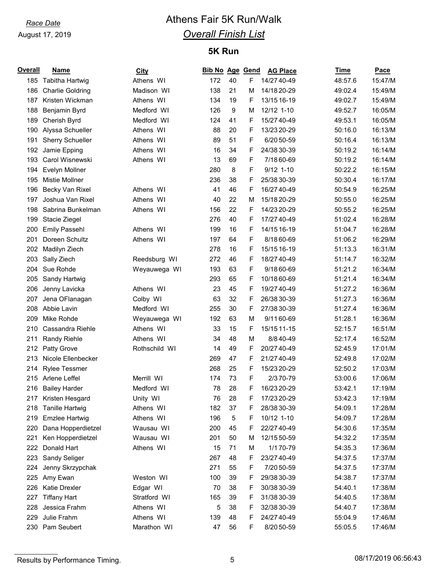# *Race Date* **Athens Fair 5K Run/Walk** *Overall Finish List*

## **5K Run**

| <b>Overall</b> | Name                    | <b>City</b>   | Bib No Age Gend |    |   | <b>AG Place</b> | Time    | Pace    |
|----------------|-------------------------|---------------|-----------------|----|---|-----------------|---------|---------|
|                | 185 Tabitha Hartwig     | Athens WI     | 172             | 40 | F | 14/27 40-49     | 48:57.6 | 15:47/M |
| 186            | <b>Charlie Goldring</b> | Madison WI    | 138             | 21 | M | 14/18 20-29     | 49:02.4 | 15:49/M |
| 187            | Kristen Wickman         | Athens WI     | 134             | 19 | F | 13/15 16-19     | 49:02.7 | 15:49/M |
| 188            | Benjamin Byrd           | Medford WI    | 126             | 9  | М | 12/12 1-10      | 49:52.7 | 16:05/M |
| 189            | Cherish Byrd            | Medford WI    | 124             | 41 | F | 15/27 40-49     | 49:53.1 | 16:05/M |
| 190            | Alyssa Schueller        | Athens WI     | 88              | 20 | F | 13/23 20-29     | 50:16.0 | 16:13/M |
| 191            | <b>Sherry Schueller</b> | Athens WI     | 89              | 51 | F | 6/20 50-59      | 50:16.4 | 16:13/M |
| 192            | Jamie Epping            | Athens WI     | 16              | 34 | F | 24/38 30-39     | 50:19.2 | 16:14/M |
| 193            | Carol Wisnewski         | Athens WI     | 13              | 69 | F | 7/18 60-69      | 50:19.2 | 16:14/M |
| 194            | Evelyn Mollner          |               | 280             | 8  | F | $9/12$ 1-10     | 50:22.2 | 16:15/M |
| 195            | <b>Mistie Mollner</b>   |               | 236             | 38 | F | 25/38 30-39     | 50:30.4 | 16:17/M |
| 196            | Becky Van Rixel         | Athens WI     | 41              | 46 | F | 16/27 40-49     | 50:54.9 | 16:25/M |
| 197            | Joshua Van Rixel        | Athens WI     | 40              | 22 | M | 15/18 20-29     | 50:55.0 | 16:25/M |
| 198            | Sabrina Bunkelman       | Athens WI     | 156             | 22 | F | 14/23 20-29     | 50:55.2 | 16:25/M |
| 199            | Stacie Ziegel           |               | 276             | 40 | F | 17/27 40-49     | 51:02.4 | 16:28/M |
| 200            | <b>Emily Passehl</b>    | Athens WI     | 199             | 16 | F | 14/15 16-19     | 51:04.7 | 16:28/M |
| 201            | Doreen Schultz          | Athens WI     | 197             | 64 | F | 8/18 60-69      | 51:06.2 | 16:29/M |
| 202            | Madilyn Ziech           |               | 278             | 16 | F | 15/15 16-19     | 51:13.3 | 16:31/M |
| 203            | Sally Ziech             | Reedsburg WI  | 272             | 46 | F | 18/27 40-49     | 51:14.7 | 16:32/M |
| 204            | Sue Rohde               | Weyauwega WI  | 193             | 63 | F | 9/18 60-69      | 51:21.2 | 16:34/M |
| 205            | Sandy Hartwig           |               | 293             | 65 | F | 10/18 60-69     | 51:21.4 | 16:34/M |
| 206            | Jenny Lavicka           | Athens WI     | 23              | 45 | F | 19/27 40-49     | 51:27.2 | 16:36/M |
| 207            | Jena OFlanagan          | Colby WI      | 63              | 32 | F | 26/38 30-39     | 51:27.3 | 16:36/M |
| 208            | Abbie Lavin             | Medford WI    | 255             | 30 | F | 27/38 30-39     | 51:27.4 | 16:36/M |
| 209            | Mike Rohde              | Weyauwega WI  | 192             | 63 | м | 9/1160-69       | 51:28.1 | 16:36/M |
| 210            | Cassandra Riehle        | Athens WI     | 33              | 15 | F | 15/15 11-15     | 52:15.7 | 16:51/M |
| 211            | Randy Riehle            | Athens WI     | 34              | 48 | M | 8/8 40-49       | 52:17.4 | 16:52/M |
| 212            | Patty Grove             | Rothschild WI | 14              | 49 | F | 20/27 40-49     | 52:45.9 | 17:01/M |
| 213            | Nicole Ellenbecker      |               | 269             | 47 | F | 21/27 40-49     | 52:49.8 | 17:02/M |
| 214            | <b>Rylee Tessmer</b>    |               | 268             | 25 | F | 15/23 20-29     | 52:50.2 | 17:03/M |
| 215            | Arlene Leffel           | Merrill WI    | 174             | 73 | F | 2/370-79        | 53:00.6 | 17:06/M |
| 216            | <b>Bailey Harder</b>    | Medford WI    | 78              | 28 | F | 16/23 20-29     | 53:42.1 | 17:19/M |
|                | 217 Kristen Hesgard     | Unity WI      | 76              | 28 | F | 17/23 20-29     | 53:42.3 | 17:19/M |
| 218            | <b>Tanille Hartwig</b>  | Athens WI     | 182             | 37 | F | 28/38 30-39     | 54:09.1 | 17:28/M |
| 219            | <b>Emzlee Hartwig</b>   | Athens WI     | 196             | 5  | F | 10/12 1-10      | 54:09.7 | 17:28/M |
| 220            | Dana Hopperdietzel      | Wausau WI     | 200             | 45 | F | 22/27 40-49     | 54:30.6 | 17:35/M |
| 221            | Ken Hopperdietzel       | Wausau WI     | 201             | 50 | M | 12/15 50-59     | 54:32.2 | 17:35/M |
| 222            | Donald Hart             | Athens WI     | 15              | 71 | М | 1/1 70-79       | 54:35.3 | 17:36/M |
| 223            | Sandy Seliger           |               | 267             | 48 | F | 23/27 40-49     | 54:37.5 | 17:37/M |
| 224            | Jenny Skrzypchak        |               | 271             | 55 | F | 7/20 50-59      | 54:37.5 | 17:37/M |
| 225            | Amy Ewan                | Weston WI     | 100             | 39 | F | 29/38 30-39     | 54:38.7 | 17:37/M |
| 226            | Katie Drexler           | Edgar WI      | 70              | 38 | F | 30/38 30-39     | 54:40.1 | 17:38/M |
| 227            | <b>Tiffany Hart</b>     | Stratford WI  | 165             | 39 | F | 31/38 30-39     | 54:40.5 | 17:38/M |
| 228            | Jessica Frahm           | Athens WI     | 5               | 38 | F | 32/38 30-39     | 54:40.7 | 17:38/M |
| 229            | Julie Frahm             | Athens WI     | 139             | 48 | F | 24/27 40-49     | 55:04.9 | 17:46/M |
| 230            | Pam Seubert             | Marathon WI   | 47              | 56 | F | 8/20 50-59      | 55:05.5 | 17:46/M |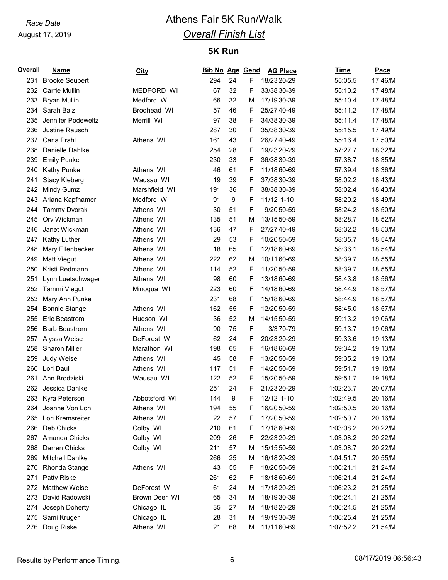# *Race Date* **Athens Fair 5K Run/Walk** *Overall Finish List*

## **5K Run**

| Overall | <b>Name</b>           | <b>City</b>   | <b>Bib No Age Gend</b> |                  |   | <b>AG Place</b> | Time      | Pace    |
|---------|-----------------------|---------------|------------------------|------------------|---|-----------------|-----------|---------|
| 231     | <b>Brooke Seubert</b> |               | 294                    | 24               | F | 18/23 20-29     | 55:05.5   | 17:46/M |
| 232     | <b>Carrie Mullin</b>  | MEDFORD WI    | 67                     | 32               | F | 33/38 30-39     | 55:10.2   | 17:48/M |
| 233     | <b>Bryan Mullin</b>   | Medford WI    | 66                     | 32               | М | 17/19 30-39     | 55:10.4   | 17:48/M |
| 234     | Sarah Balz            | Brodhead WI   | 57                     | 46               | F | 25/27 40-49     | 55:11.2   | 17:48/M |
| 235     | Jennifer Podeweltz    | Merrill WI    | 97                     | 38               | F | 34/38 30-39     | 55:11.4   | 17:48/M |
| 236     | Justine Rausch        |               | 287                    | 30               | F | 35/38 30-39     | 55:15.5   | 17:49/M |
| 237     | Carla Prahl           | Athens WI     | 161                    | 43               | F | 26/27 40-49     | 55:16.4   | 17:50/M |
| 238     | Danielle Dahlke       |               | 254                    | 28               | F | 19/23 20-29     | 57:27.7   | 18:32/M |
| 239     | <b>Emily Punke</b>    |               | 230                    | 33               | F | 36/38 30-39     | 57:38.7   | 18:35/M |
| 240     | <b>Kathy Punke</b>    | Athens WI     | 46                     | 61               | F | 11/18 60-69     | 57:39.4   | 18:36/M |
| 241     | <b>Stacy Kleberg</b>  | Wausau WI     | 19                     | 39               | F | 37/38 30-39     | 58:02.2   | 18:43/M |
| 242     | Mindy Gumz            | Marshfield WI | 191                    | 36               | F | 38/38 30-39     | 58:02.4   | 18:43/M |
| 243     | Ariana Kapfhamer      | Medford WI    | 91                     | $\boldsymbol{9}$ | F | 11/12 1-10      | 58:20.2   | 18:49/M |
| 244     | <b>Tammy Dvorak</b>   | Athens WI     | 30                     | 51               | F | 9/20 50-59      | 58:24.2   | 18:50/M |
| 245     | Orv Wickman           | Athens WI     | 135                    | 51               | М | 13/15 50-59     | 58:28.7   | 18:52/M |
| 246     | Janet Wickman         | Athens WI     | 136                    | 47               | F | 27/27 40-49     | 58:32.2   | 18:53/M |
| 247     | Kathy Luther          | Athens WI     | 29                     | 53               | F | 10/20 50-59     | 58:35.7   | 18:54/M |
| 248     | Mary Ellenbecker      | Athens WI     | 18                     | 65               | F | 12/18 60-69     | 58:36.1   | 18:54/M |
| 249     | Matt Viegut           | Athens WI     | 222                    | 62               | М | 10/1160-69      | 58:39.7   | 18:55/M |
| 250     | Kristi Redmann        | Athens WI     | 114                    | 52               | F | 11/20 50-59     | 58:39.7   | 18:55/M |
| 251     | Lynn Luetschwager     | Athens WI     | 98                     | 60               | F | 13/18 60-69     | 58:43.8   | 18:56/M |
| 252     | Tammi Viegut          | Minoqua WI    | 223                    | 60               | F | 14/18 60-69     | 58:44.9   | 18:57/M |
| 253     | Mary Ann Punke        |               | 231                    | 68               | F | 15/18 60-69     | 58:44.9   | 18:57/M |
| 254     | <b>Bonnie Stange</b>  | Athens WI     | 162                    | 55               | F | 12/20 50-59     | 58:45.0   | 18:57/M |
| 255     | Eric Beastrom         | Hudson WI     | 36                     | 52               | M | 14/15 50-59     | 59:13.2   | 19:06/M |
| 256     | <b>Barb Beastrom</b>  | Athens WI     | 90                     | 75               | F | 3/370-79        | 59:13.7   | 19:06/M |
| 257     | Alyssa Weise          | DeForest WI   | 62                     | 24               | F | 20/23 20-29     | 59:33.6   | 19:13/M |
| 258     | <b>Sharon Miller</b>  | Marathon WI   | 198                    | 65               | F | 16/18 60-69     | 59:34.2   | 19:13/M |
| 259     | Judy Weise            | Athens WI     | 45                     | 58               | F | 13/20 50-59     | 59:35.2   | 19:13/M |
| 260     | Lori Daul             | Athens WI     | 117                    | 51               | F | 14/20 50-59     | 59:51.7   | 19:18/M |
| 261     | Ann Brodziski         | Wausau WI     | 122                    | 52               | F | 15/20 50-59     | 59:51.7   | 19:18/M |
| 262     | Jessica Dahlke        |               | 251                    | 24               | F | 21/23 20-29     | 1:02:23.7 | 20:07/M |
| 263     | Kyra Peterson         | Abbotsford WI | 144                    | 9                | F | 12/12 1-10      | 1:02:49.5 | 20:16/M |
| 264     | Joanne Von Loh        | Athens WI     | 194                    | 55               | F | 16/20 50-59     | 1:02:50.5 | 20:16/M |
| 265     | Lori Kremsreiter      | Athens WI     | 22                     | 57               | F | 17/20 50-59     | 1:02:50.7 | 20:16/M |
| 266     | Deb Chicks            | Colby WI      | 210                    | 61               | F | 17/18 60-69     | 1:03:08.2 | 20:22/M |
| 267     | Amanda Chicks         | Colby WI      | 209                    | 26               | F | 22/23 20-29     | 1:03:08.2 | 20:22/M |
| 268     | Darren Chicks         | Colby WI      | 211                    | 57               | M | 15/15 50-59     | 1:03:08.7 | 20:22/M |
| 269     | Mitchell Dahlke       |               | 266                    | 25               | M | 16/18 20-29     | 1:04:51.7 | 20:55/M |
| 270     | Rhonda Stange         | Athens WI     | 43                     | 55               | F | 18/20 50-59     | 1:06:21.1 | 21:24/M |
| 271     | Patty Riske           |               | 261                    | 62               | F | 18/18 60-69     | 1:06:21.4 | 21:24/M |
| 272     | <b>Matthew Weise</b>  | DeForest WI   | 61                     | 24               | M | 17/18 20-29     | 1:06:23.2 | 21:25/M |
| 273     | David Radowski        | Brown Deer WI | 65                     | 34               | M | 18/19 30-39     | 1:06:24.1 | 21:25/M |
| 274     | Joseph Doherty        | Chicago IL    | 35                     | 27               | M | 18/18 20-29     | 1:06:24.5 | 21:25/M |
| 275     | Sami Kruger           | Chicago IL    | 28                     | 31               | M | 19/19 30-39     | 1:06:25.4 | 21:25/M |
| 276     | Doug Riske            | Athens WI     | 21                     | 68               | м | 11/1160-69      | 1:07:52.2 | 21:54/M |

Results by Performance Timing. 2008/17/2019 06:56:43